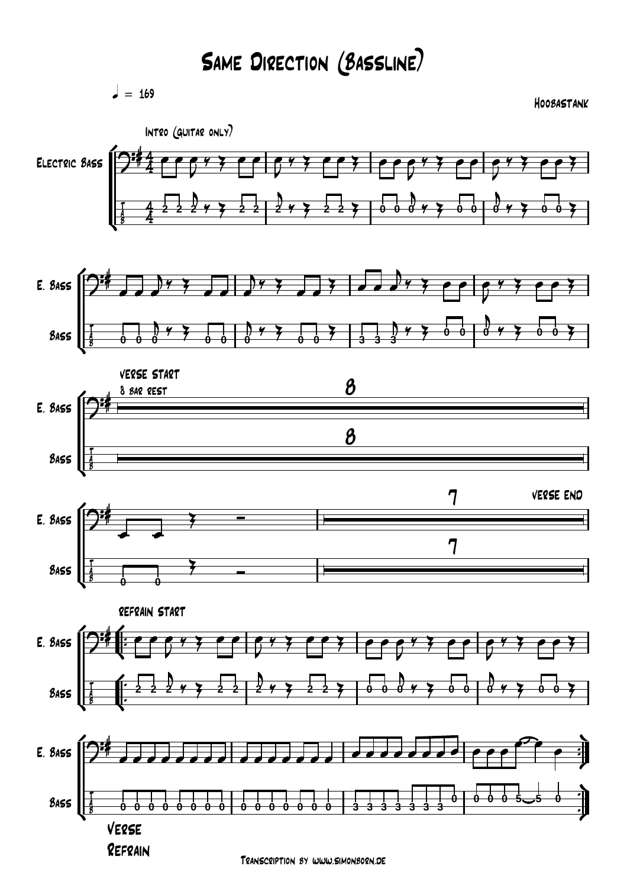## Same Direction (Bassline)

 $= 169$ 

Hoobastank



Transcription by www.simonborn.de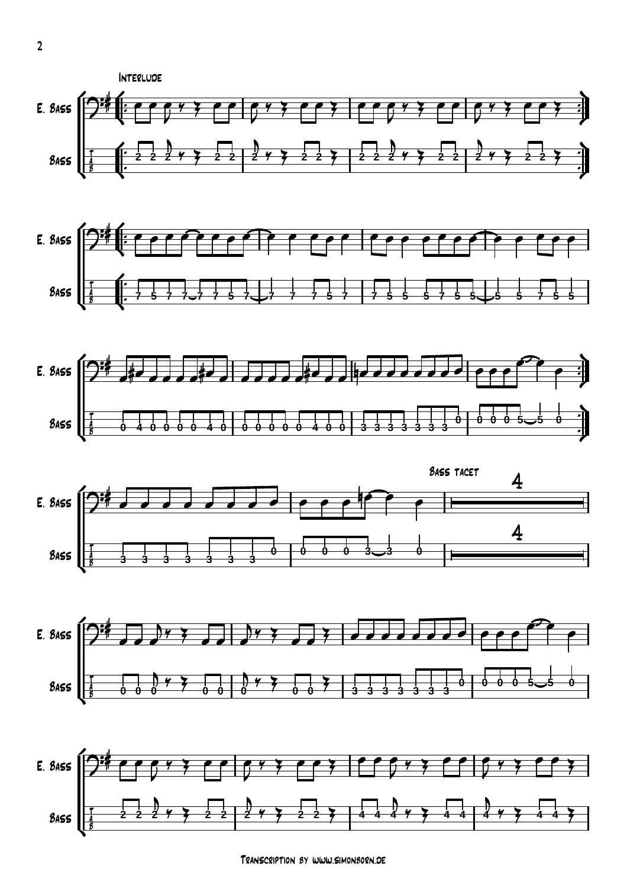











Transcription by www.simonborn.de